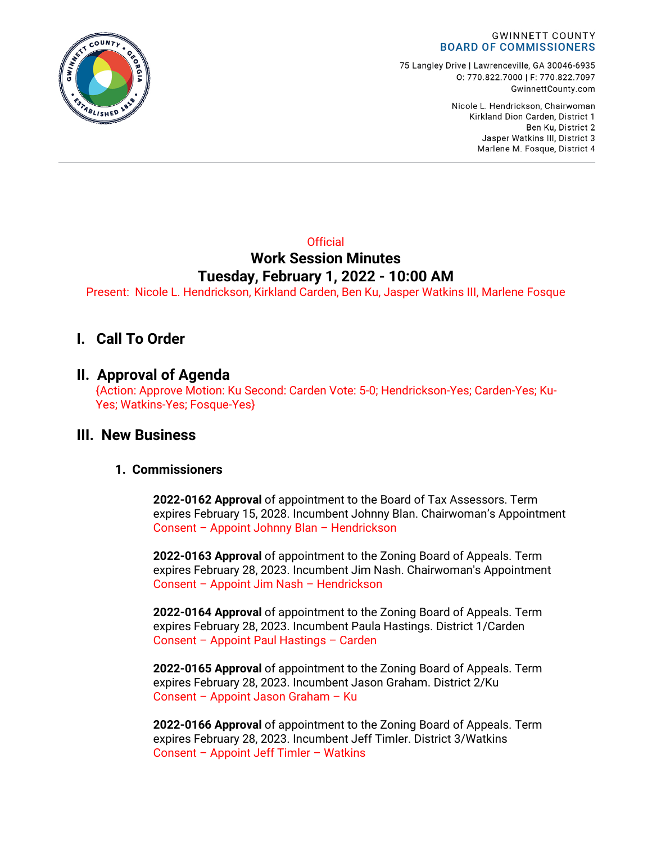

75 Langley Drive | Lawrenceville, GA 30046-6935 0: 770.822.7000 | F: 770.822.7097 GwinnettCounty.com

> Nicole L. Hendrickson, Chairwoman Kirkland Dion Carden, District 1 Ben Ku. District 2 Jasper Watkins III, District 3 Marlene M. Fosque, District 4

# **Official Work Session Minutes Tuesday, February 1, 2022 - 10:00 AM**

Present: Nicole L. Hendrickson, Kirkland Carden, Ben Ku, Jasper Watkins III, Marlene Fosque

# **I. Call To Order**

# **II. Approval of Agenda**

{Action: Approve Motion: Ku Second: Carden Vote: 5-0; Hendrickson-Yes; Carden-Yes; Ku-Yes; Watkins-Yes; Fosque-Yes}

# **III. New Business**

### **1. Commissioners**

**2022-0162 Approval** of appointment to the Board of Tax Assessors. Term expires February 15, 2028. Incumbent Johnny Blan. Chairwoman's Appointment Consent – Appoint Johnny Blan – Hendrickson

**2022-0163 Approval** of appointment to the Zoning Board of Appeals. Term expires February 28, 2023. Incumbent Jim Nash. Chairwoman's Appointment Consent – Appoint Jim Nash – Hendrickson

**2022-0164 Approval** of appointment to the Zoning Board of Appeals. Term expires February 28, 2023. Incumbent Paula Hastings. District 1/Carden Consent – Appoint Paul Hastings – Carden

**2022-0165 Approval** of appointment to the Zoning Board of Appeals. Term expires February 28, 2023. Incumbent Jason Graham. District 2/Ku Consent – Appoint Jason Graham – Ku

**2022-0166 Approval** of appointment to the Zoning Board of Appeals. Term expires February 28, 2023. Incumbent Jeff Timler. District 3/Watkins Consent – Appoint Jeff Timler – Watkins

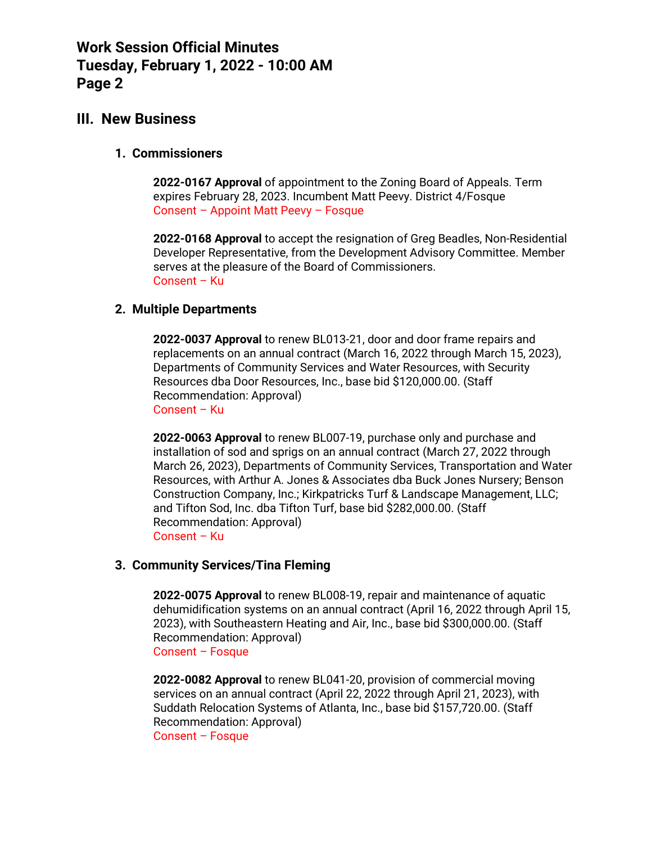# **III. New Business**

#### **1. Commissioners**

**2022-0167 Approval** of appointment to the Zoning Board of Appeals. Term expires February 28, 2023. Incumbent Matt Peevy. District 4/Fosque Consent – Appoint Matt Peevy – Fosque

**2022-0168 Approval** to accept the resignation of Greg Beadles, Non-Residential Developer Representative, from the Development Advisory Committee. Member serves at the pleasure of the Board of Commissioners. Consent – Ku

#### **2. Multiple Departments**

**2022-0037 Approval** to renew BL013-21, door and door frame repairs and replacements on an annual contract (March 16, 2022 through March 15, 2023), Departments of Community Services and Water Resources, with Security Resources dba Door Resources, Inc., base bid \$120,000.00. (Staff Recommendation: Approval) Consent – Ku

**2022-0063 Approval** to renew BL007-19, purchase only and purchase and installation of sod and sprigs on an annual contract (March 27, 2022 through March 26, 2023), Departments of Community Services, Transportation and Water Resources, with Arthur A. Jones & Associates dba Buck Jones Nursery; Benson Construction Company, Inc.; Kirkpatricks Turf & Landscape Management, LLC; and Tifton Sod, Inc. dba Tifton Turf, base bid \$282,000.00. (Staff Recommendation: Approval) Consent – Ku

### **3. Community Services/Tina Fleming**

**2022-0075 Approval** to renew BL008-19, repair and maintenance of aquatic dehumidification systems on an annual contract (April 16, 2022 through April 15, 2023), with Southeastern Heating and Air, Inc., base bid \$300,000.00. (Staff Recommendation: Approval) Consent – Fosque

**2022-0082 Approval** to renew BL041-20, provision of commercial moving services on an annual contract (April 22, 2022 through April 21, 2023), with Suddath Relocation Systems of Atlanta, Inc., base bid \$157,720.00. (Staff Recommendation: Approval) Consent – Fosque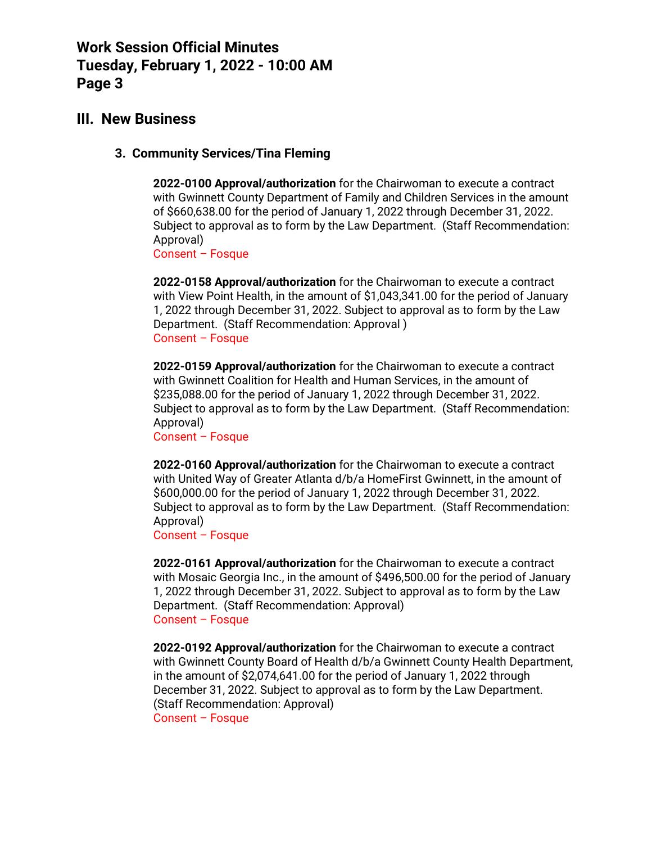# **III. New Business**

## **3. Community Services/Tina Fleming**

**2022-0100 Approval/authorization** for the Chairwoman to execute a contract with Gwinnett County Department of Family and Children Services in the amount of \$660,638.00 for the period of January 1, 2022 through December 31, 2022. Subject to approval as to form by the Law Department. (Staff Recommendation: Approval)

Consent – Fosque

**2022-0158 Approval/authorization** for the Chairwoman to execute a contract with View Point Health, in the amount of \$1,043,341.00 for the period of January 1, 2022 through December 31, 2022. Subject to approval as to form by the Law Department. (Staff Recommendation: Approval ) Consent – Fosque

**2022-0159 Approval/authorization** for the Chairwoman to execute a contract with Gwinnett Coalition for Health and Human Services, in the amount of \$235,088.00 for the period of January 1, 2022 through December 31, 2022. Subject to approval as to form by the Law Department. (Staff Recommendation: Approval)

Consent – Fosque

**2022-0160 Approval/authorization** for the Chairwoman to execute a contract with United Way of Greater Atlanta d/b/a HomeFirst Gwinnett, in the amount of \$600,000.00 for the period of January 1, 2022 through December 31, 2022. Subject to approval as to form by the Law Department. (Staff Recommendation: Approval)

Consent – Fosque

**2022-0161 Approval/authorization** for the Chairwoman to execute a contract with Mosaic Georgia Inc., in the amount of \$496,500.00 for the period of January 1, 2022 through December 31, 2022. Subject to approval as to form by the Law Department. (Staff Recommendation: Approval) Consent – Fosque

**2022-0192 Approval/authorization** for the Chairwoman to execute a contract with Gwinnett County Board of Health d/b/a Gwinnett County Health Department, in the amount of \$2,074,641.00 for the period of January 1, 2022 through December 31, 2022. Subject to approval as to form by the Law Department. (Staff Recommendation: Approval) Consent – Fosque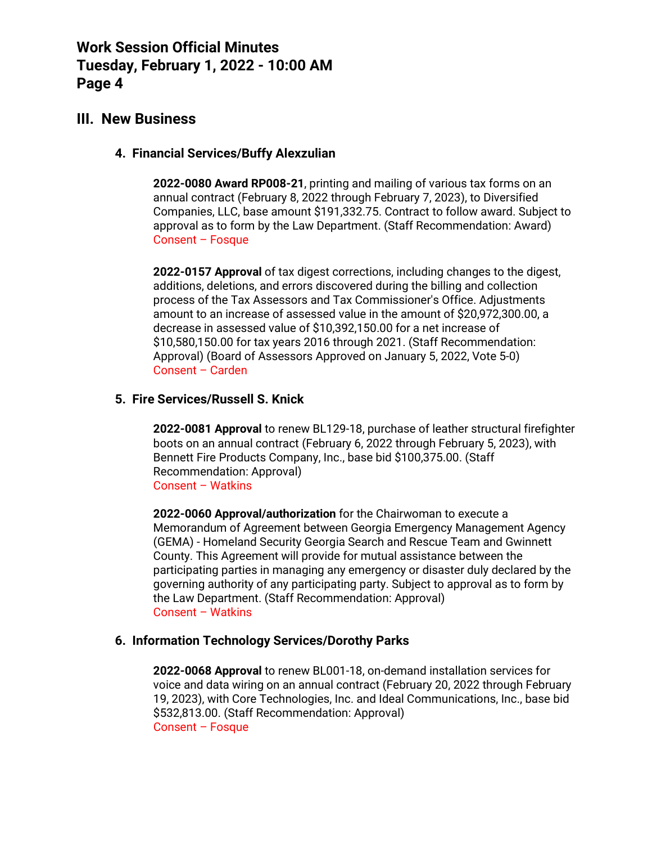# **III. New Business**

## **4. Financial Services/Buffy Alexzulian**

**2022-0080 Award RP008-21**, printing and mailing of various tax forms on an annual contract (February 8, 2022 through February 7, 2023), to Diversified Companies, LLC, base amount \$191,332.75. Contract to follow award. Subject to approval as to form by the Law Department. (Staff Recommendation: Award) Consent – Fosque

**2022-0157 Approval** of tax digest corrections, including changes to the digest, additions, deletions, and errors discovered during the billing and collection process of the Tax Assessors and Tax Commissioner's Office. Adjustments amount to an increase of assessed value in the amount of \$20,972,300.00, a decrease in assessed value of \$10,392,150.00 for a net increase of \$10,580,150.00 for tax years 2016 through 2021. (Staff Recommendation: Approval) (Board of Assessors Approved on January 5, 2022, Vote 5-0) Consent – Carden

## **5. Fire Services/Russell S. Knick**

**2022-0081 Approval** to renew BL129-18, purchase of leather structural firefighter boots on an annual contract (February 6, 2022 through February 5, 2023), with Bennett Fire Products Company, Inc., base bid \$100,375.00. (Staff Recommendation: Approval) Consent – Watkins

**2022-0060 Approval/authorization** for the Chairwoman to execute a Memorandum of Agreement between Georgia Emergency Management Agency (GEMA) - Homeland Security Georgia Search and Rescue Team and Gwinnett County. This Agreement will provide for mutual assistance between the participating parties in managing any emergency or disaster duly declared by the governing authority of any participating party. Subject to approval as to form by the Law Department. (Staff Recommendation: Approval) Consent – Watkins

### **6. Information Technology Services/Dorothy Parks**

**2022-0068 Approval** to renew BL001-18, on-demand installation services for voice and data wiring on an annual contract (February 20, 2022 through February 19, 2023), with Core Technologies, Inc. and Ideal Communications, Inc., base bid \$532,813.00. (Staff Recommendation: Approval) Consent – Fosque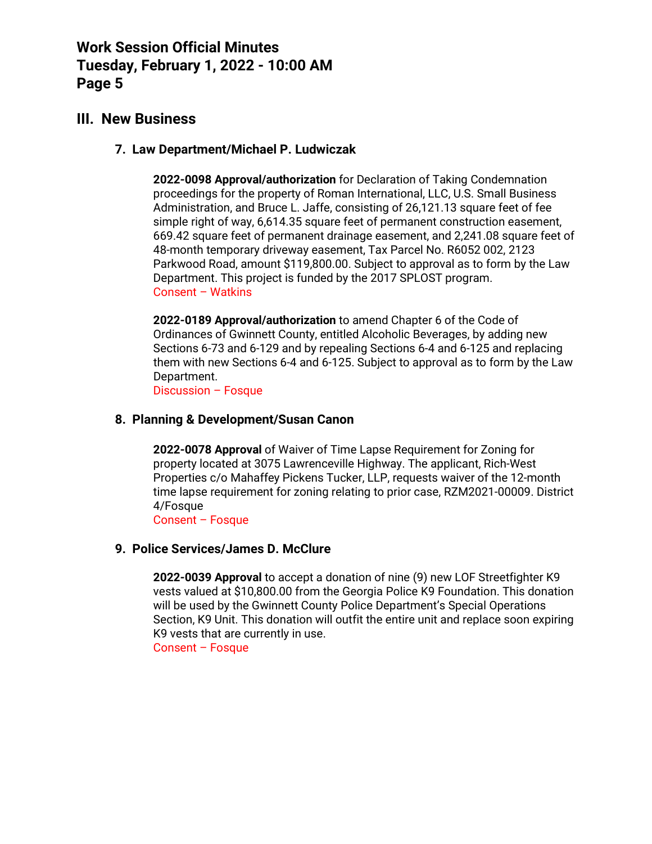# **III. New Business**

## **7. Law Department/Michael P. Ludwiczak**

**2022-0098 Approval/authorization** for Declaration of Taking Condemnation proceedings for the property of Roman International, LLC, U.S. Small Business Administration, and Bruce L. Jaffe, consisting of 26,121.13 square feet of fee simple right of way, 6,614.35 square feet of permanent construction easement, 669.42 square feet of permanent drainage easement, and 2,241.08 square feet of 48-month temporary driveway easement, Tax Parcel No. R6052 002, 2123 Parkwood Road, amount \$119,800.00. Subject to approval as to form by the Law Department. This project is funded by the 2017 SPLOST program. Consent – Watkins

**2022-0189 Approval/authorization** to amend Chapter 6 of the Code of Ordinances of Gwinnett County, entitled Alcoholic Beverages, by adding new Sections 6-73 and 6-129 and by repealing Sections 6-4 and 6-125 and replacing them with new Sections 6-4 and 6-125. Subject to approval as to form by the Law Department.

Discussion – Fosque

## **8. Planning & Development/Susan Canon**

**2022-0078 Approval** of Waiver of Time Lapse Requirement for Zoning for property located at 3075 Lawrenceville Highway. The applicant, Rich-West Properties c/o Mahaffey Pickens Tucker, LLP, requests waiver of the 12-month time lapse requirement for zoning relating to prior case, RZM2021-00009. District 4/Fosque

Consent – Fosque

### **9. Police Services/James D. McClure**

**2022-0039 Approval** to accept a donation of nine (9) new LOF Streetfighter K9 vests valued at \$10,800.00 from the Georgia Police K9 Foundation. This donation will be used by the Gwinnett County Police Department's Special Operations Section, K9 Unit. This donation will outfit the entire unit and replace soon expiring K9 vests that are currently in use.

Consent – Fosque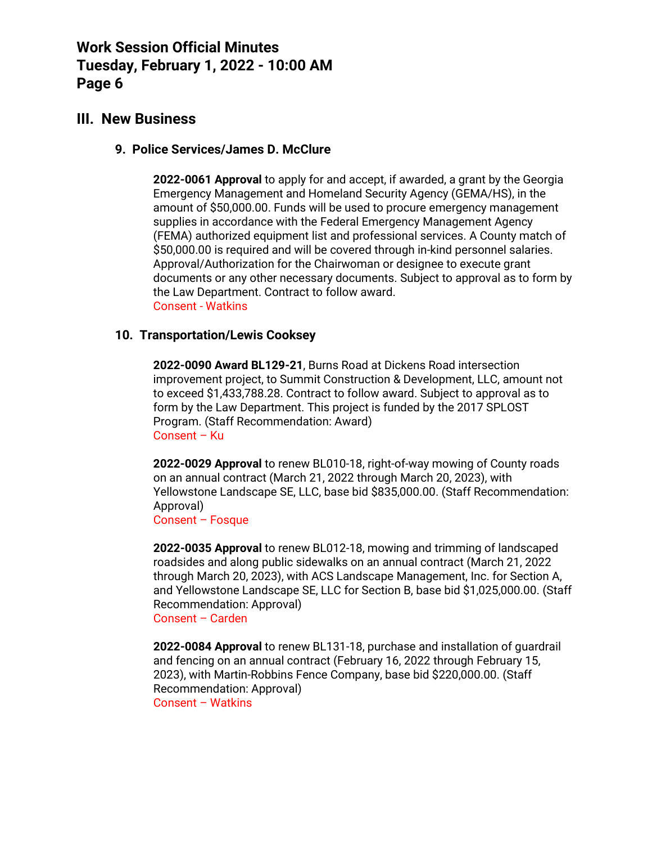# **III. New Business**

## **9. Police Services/James D. McClure**

**2022-0061 Approval** to apply for and accept, if awarded, a grant by the Georgia Emergency Management and Homeland Security Agency (GEMA/HS), in the amount of \$50,000.00. Funds will be used to procure emergency management supplies in accordance with the Federal Emergency Management Agency (FEMA) authorized equipment list and professional services. A County match of \$50,000.00 is required and will be covered through in-kind personnel salaries. Approval/Authorization for the Chairwoman or designee to execute grant documents or any other necessary documents. Subject to approval as to form by the Law Department. Contract to follow award. Consent - Watkins

### **10. Transportation/Lewis Cooksey**

**2022-0090 Award BL129-21**, Burns Road at Dickens Road intersection improvement project, to Summit Construction & Development, LLC, amount not to exceed \$1,433,788.28. Contract to follow award. Subject to approval as to form by the Law Department. This project is funded by the 2017 SPLOST Program. (Staff Recommendation: Award) Consent – Ku

**2022-0029 Approval** to renew BL010-18, right-of-way mowing of County roads on an annual contract (March 21, 2022 through March 20, 2023), with Yellowstone Landscape SE, LLC, base bid \$835,000.00. (Staff Recommendation: Approval)

Consent – Fosque

**2022-0035 Approval** to renew BL012-18, mowing and trimming of landscaped roadsides and along public sidewalks on an annual contract (March 21, 2022 through March 20, 2023), with ACS Landscape Management, Inc. for Section A, and Yellowstone Landscape SE, LLC for Section B, base bid \$1,025,000.00. (Staff Recommendation: Approval)

Consent – Carden

**2022-0084 Approval** to renew BL131-18, purchase and installation of guardrail and fencing on an annual contract (February 16, 2022 through February 15, 2023), with Martin-Robbins Fence Company, base bid \$220,000.00. (Staff Recommendation: Approval) Consent – Watkins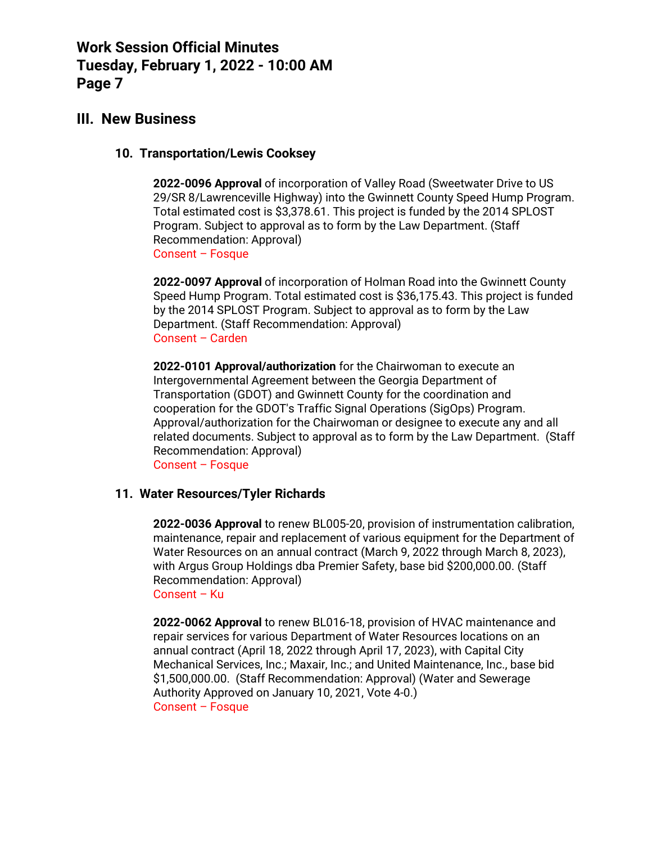# **III. New Business**

### **10. Transportation/Lewis Cooksey**

**2022-0096 Approval** of incorporation of Valley Road (Sweetwater Drive to US 29/SR 8/Lawrenceville Highway) into the Gwinnett County Speed Hump Program. Total estimated cost is \$3,378.61. This project is funded by the 2014 SPLOST Program. Subject to approval as to form by the Law Department. (Staff Recommendation: Approval) Consent – Fosque

**2022-0097 Approval** of incorporation of Holman Road into the Gwinnett County Speed Hump Program. Total estimated cost is \$36,175.43. This project is funded by the 2014 SPLOST Program. Subject to approval as to form by the Law Department. (Staff Recommendation: Approval) Consent – Carden

**2022-0101 Approval/authorization** for the Chairwoman to execute an Intergovernmental Agreement between the Georgia Department of Transportation (GDOT) and Gwinnett County for the coordination and cooperation for the GDOT's Traffic Signal Operations (SigOps) Program. Approval/authorization for the Chairwoman or designee to execute any and all related documents. Subject to approval as to form by the Law Department. (Staff Recommendation: Approval)

Consent – Fosque

## **11. Water Resources/Tyler Richards**

**2022-0036 Approval** to renew BL005-20, provision of instrumentation calibration, maintenance, repair and replacement of various equipment for the Department of Water Resources on an annual contract (March 9, 2022 through March 8, 2023), with Argus Group Holdings dba Premier Safety, base bid \$200,000.00. (Staff Recommendation: Approval)

Consent – Ku

**2022-0062 Approval** to renew BL016-18, provision of HVAC maintenance and repair services for various Department of Water Resources locations on an annual contract (April 18, 2022 through April 17, 2023), with Capital City Mechanical Services, Inc.; Maxair, Inc.; and United Maintenance, Inc., base bid \$1,500,000.00. (Staff Recommendation: Approval) (Water and Sewerage Authority Approved on January 10, 2021, Vote 4-0.) Consent – Fosque